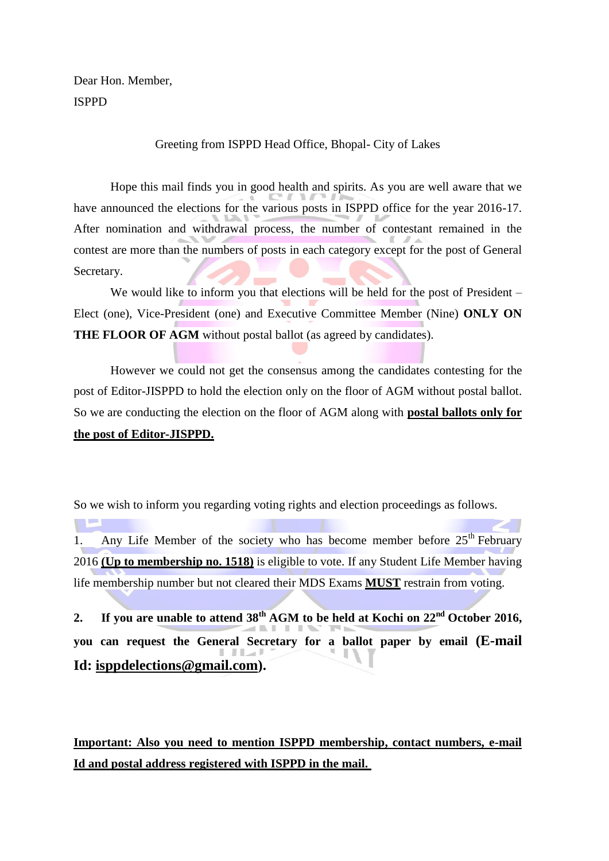Dear Hon. Member, ISPPD

## Greeting from ISPPD Head Office, Bhopal- City of Lakes

Hope this mail finds you in good health and spirits. As you are well aware that we have announced the elections for the various posts in ISPPD office for the year 2016-17. After nomination and withdrawal process, the number of contestant remained in the contest are more than the numbers of posts in each category except for the post of General Secretary.

We would like to inform you that elections will be held for the post of President – Elect (one), Vice-President (one) and Executive Committee Member (Nine) **ONLY ON THE FLOOR OF AGM** without postal ballot (as agreed by candidates).

However we could not get the consensus among the candidates contesting for the post of Editor-JISPPD to hold the election only on the floor of AGM without postal ballot. So we are conducting the election on the floor of AGM along with **postal ballots only for the post of Editor-JISPPD.**

So we wish to inform you regarding voting rights and election proceedings as follows.

 $\mathbb{R}^n$ 1. Any Life Member of the society who has become member before  $25<sup>th</sup>$  February 2016 **(Up to membership no. 1518)** is eligible to vote. If any Student Life Member having life membership number but not cleared their MDS Exams **MUST** restrain from voting.

**2. If you are unable to attend 38th AGM to be held at Kochi on 22nd October 2016, you can request the General Secretary for a ballot paper by email (E-mail Id: [isppdelections@gmail.com\)](mailto:isppdelection@gmail.com).**

**Important: Also you need to mention ISPPD membership, contact numbers, e-mail Id and postal address registered with ISPPD in the mail.**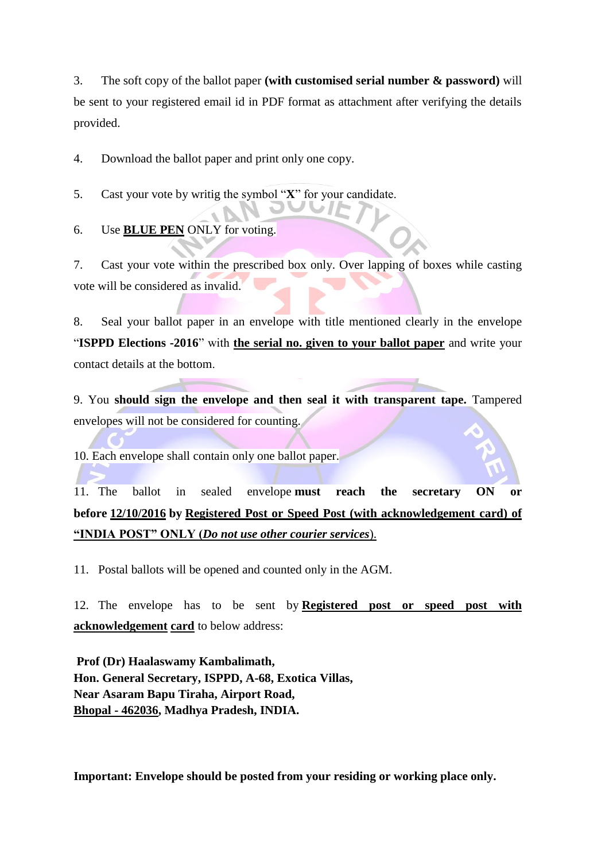3. The soft copy of the ballot paper **(with customised serial number & password)** will be sent to your registered email id in PDF format as attachment after verifying the details provided.

4. Download the ballot paper and print only one copy.

5. Cast your vote by writig the symbol "**X**" for your candidate.

6. Use **BLUE PEN** ONLY for voting.

7. Cast your vote within the prescribed box only. Over lapping of boxes while casting vote will be considered as invalid.

8. Seal your ballot paper in an envelope with title mentioned clearly in the envelope "**ISPPD Elections -2016**" with **the serial no. given to your ballot paper** and write your contact details at the bottom.

9. You **should sign the envelope and then seal it with transparent tape.** Tampered envelopes will not be considered for counting.

10. Each envelope shall contain only one ballot paper.

11. The ballot in sealed envelope **must reach the secretary ON or before 12/10/2016 by Registered Post or Speed Post (with acknowledgement card) of "INDIA POST" ONLY (***Do not use other courier services*).

11. Postal ballots will be opened and counted only in the AGM.

12. The envelope has to be sent by **Registered post or speed post with acknowledgement card** to below address:

**Prof (Dr) Haalaswamy Kambalimath, Hon. General Secretary, ISPPD, A-68, Exotica Villas, Near Asaram Bapu Tiraha, Airport Road, Bhopal - 462036, Madhya Pradesh, INDIA.**

**Important: Envelope should be posted from your residing or working place only.**